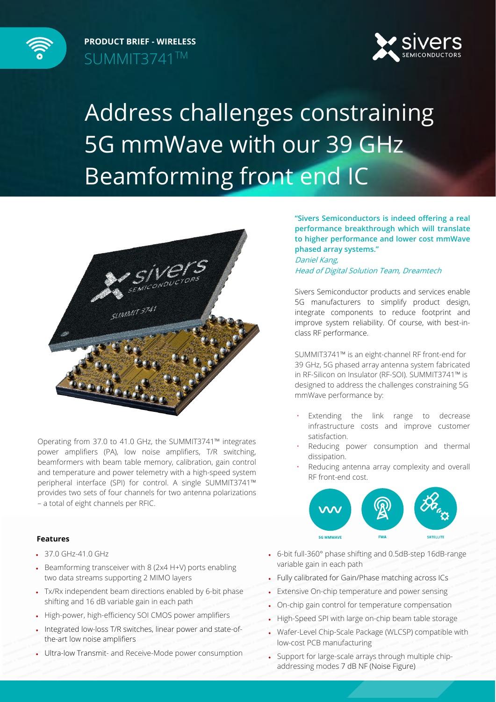

**PRODUCT BRIEF - WIRELESS** SUMMIT3741TM



## Address challenges constraining 5G mmWave with our 39 GHz Beamforming front end IC



Operating from 37.0 to 41.0 GHz, the SUMMIT3741™ integrates power amplifiers (PA), low noise amplifiers, T/R switching, beamformers with beam table memory, calibration, gain control and temperature and power telemetry with a high-speed system peripheral interface (SPI) for control. A single SUMMIT3741™ provides two sets of four channels for two antenna polarizations – a total of eight channels per RFIC.

**"Sivers Semiconductors is indeed offering a real performance breakthrough which will translate to higher performance and lower cost mmWave phased array systems."** Daniel Kang, Head of Digital Solution Team, Dreamtech

Sivers Semiconductor products and services enable 5G manufacturers to simplify product design, integrate components to reduce footprint and improve system reliability. Of course, with best-inclass RF performance.

SUMMIT3741™ is an eight-channel RF front-end for 39 GHz, 5G phased array antenna system fabricated in RF-Silicon on Insulator (RF-SOI). SUMMIT3741™ is designed to address the challenges constraining 5G mmWave performance by:

- Extending the link range to decrease infrastructure costs and improve customer satisfaction.
- Reducing power consumption and thermal dissipation.
- Reducing antenna array complexity and overall RF front-end cost.



## **Features**

- 37.0 GHz-41.0 GHz
- Beamforming transceiver with 8 (2x4 H+V) ports enabling two data streams supporting 2 MIMO layers
- Tx/Rx independent beam directions enabled by 6-bit phase shifting and 16 dB variable gain in each path
- High-power, high-efficiency SOI CMOS power amplifiers
- Integrated low-loss T/R switches, linear power and state-ofthe-art low noise amplifiers
- Ultra-low Transmit- and Receive-Mode power consumption
- 6-bit full-360° phase shifting and 0.5dB-step 16dB-range variable gain in each path
- Fully calibrated for Gain/Phase matching across ICs
- Extensive On-chip temperature and power sensing
- On-chip gain control for temperature compensation
- High-Speed SPI with large on-chip beam table storage
- Wafer-Level Chip-Scale Package (WLCSP) compatible with low-cost PCB manufacturing
- Support for large-scale arrays through multiple chipaddressing modes 7 dB NF (Noise Figure)